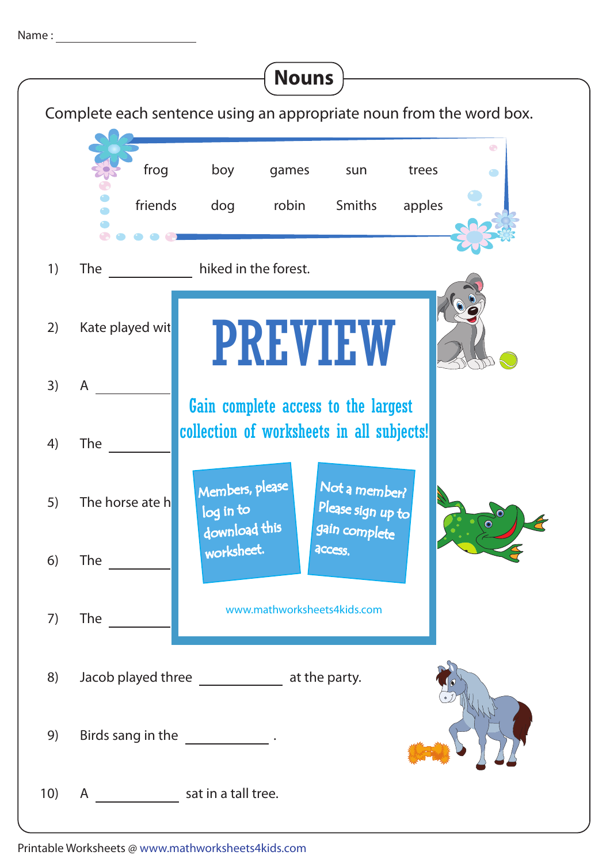